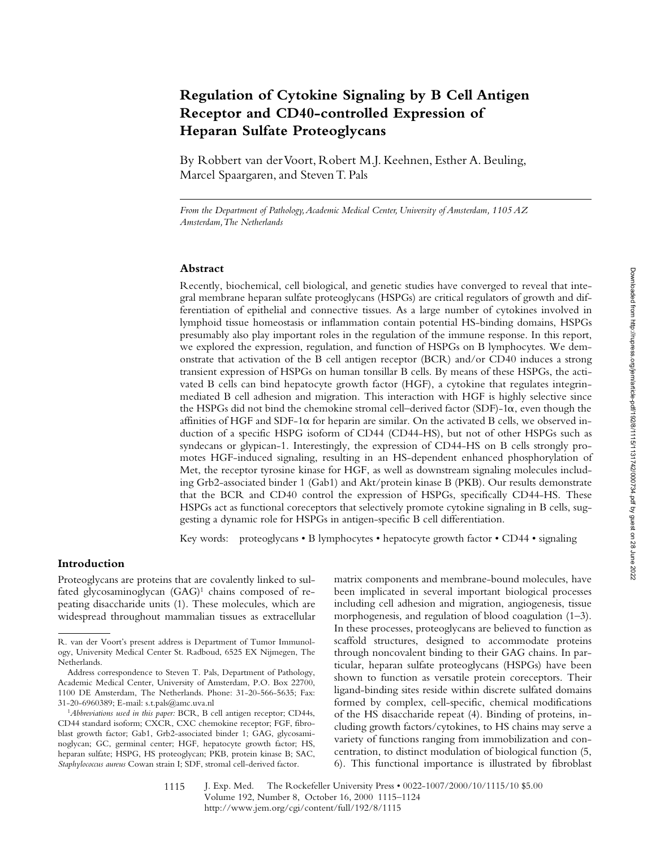# **Regulation of Cytokine Signaling by B Cell Antigen Receptor and CD40-controlled Expression of Heparan Sulfate Proteoglycans**

By Robbert van der Voort, Robert M.J. Keehnen, Esther A. Beuling, Marcel Spaargaren, and Steven T. Pals

*From the Department of Pathology, Academic Medical Center, University of Amsterdam, 1105 AZ Amsterdam, The Netherlands*

## **Abstract**

Recently, biochemical, cell biological, and genetic studies have converged to reveal that integral membrane heparan sulfate proteoglycans (HSPGs) are critical regulators of growth and differentiation of epithelial and connective tissues. As a large number of cytokines involved in lymphoid tissue homeostasis or inflammation contain potential HS-binding domains, HSPGs presumably also play important roles in the regulation of the immune response. In this report, we explored the expression, regulation, and function of HSPGs on B lymphocytes. We demonstrate that activation of the B cell antigen receptor (BCR) and/or CD40 induces a strong transient expression of HSPGs on human tonsillar B cells. By means of these HSPGs, the activated B cells can bind hepatocyte growth factor (HGF), a cytokine that regulates integrinmediated B cell adhesion and migration. This interaction with HGF is highly selective since the HSPGs did not bind the chemokine stromal cell–derived factor (SDF)-1a, even though the affinities of HGF and SDF-1 $\alpha$  for heparin are similar. On the activated B cells, we observed induction of a specific HSPG isoform of CD44 (CD44-HS), but not of other HSPGs such as syndecans or glypican-1. Interestingly, the expression of CD44-HS on B cells strongly promotes HGF-induced signaling, resulting in an HS-dependent enhanced phosphorylation of Met, the receptor tyrosine kinase for HGF, as well as downstream signaling molecules including Grb2-associated binder 1 (Gab1) and Akt/protein kinase B (PKB). Our results demonstrate that the BCR and CD40 control the expression of HSPGs, specifically CD44-HS. These HSPGs act as functional coreceptors that selectively promote cytokine signaling in B cells, suggesting a dynamic role for HSPGs in antigen-specific B cell differentiation.

Key words: proteoglycans • B lymphocytes • hepatocyte growth factor • CD44 • signaling

## **Introduction**

Proteoglycans are proteins that are covalently linked to sulfated glycosaminoglycan  $(GAG)^1$  chains composed of repeating disaccharide units (1). These molecules, which are widespread throughout mammalian tissues as extracellular matrix components and membrane-bound molecules, have been implicated in several important biological processes including cell adhesion and migration, angiogenesis, tissue morphogenesis, and regulation of blood coagulation (1–3). In these processes, proteoglycans are believed to function as scaffold structures, designed to accommodate proteins through noncovalent binding to their GAG chains. In particular, heparan sulfate proteoglycans (HSPGs) have been shown to function as versatile protein coreceptors. Their ligand-binding sites reside within discrete sulfated domains formed by complex, cell-specific, chemical modifications of the HS disaccharide repeat (4). Binding of proteins, including growth factors/cytokines, to HS chains may serve a variety of functions ranging from immobilization and concentration, to distinct modulation of biological function (5, 6). This functional importance is illustrated by fibroblast

R. van der Voort's present address is Department of Tumor Immunology, University Medical Center St. Radboud, 6525 EX Nijmegen, The Netherlands.

Address correspondence to Steven T. Pals, Department of Pathology, Academic Medical Center, University of Amsterdam, P.O. Box 22700, 1100 DE Amsterdam, The Netherlands. Phone: 31-20-566-5635; Fax: 31-20-6960389; E-mail: s.t.pals@amc.uva.nl

<sup>1</sup>*Abbreviations used in this paper:* BCR, B cell antigen receptor; CD44s, CD44 standard isoform; CXCR, CXC chemokine receptor; FGF, fibroblast growth factor; Gab1, Grb2-associated binder 1; GAG, glycosaminoglycan; GC, germinal center; HGF, hepatocyte growth factor; HS, heparan sulfate; HSPG, HS proteoglycan; PKB, protein kinase B; SAC, *Staphylococcus aureus* Cowan strain I; SDF, stromal cell-derived factor.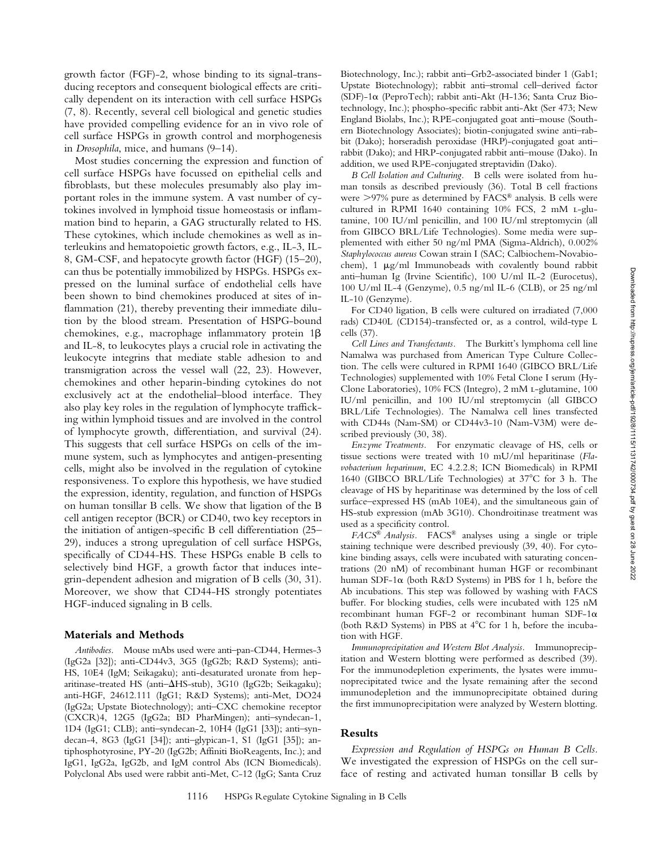growth factor (FGF)-2, whose binding to its signal-transducing receptors and consequent biological effects are critically dependent on its interaction with cell surface HSPGs (7, 8). Recently, several cell biological and genetic studies have provided compelling evidence for an in vivo role of cell surface HSPGs in growth control and morphogenesis in *Drosophila*, mice, and humans (9–14).

Most studies concerning the expression and function of cell surface HSPGs have focussed on epithelial cells and fibroblasts, but these molecules presumably also play important roles in the immune system. A vast number of cytokines involved in lymphoid tissue homeostasis or inflammation bind to heparin, a GAG structurally related to HS. These cytokines, which include chemokines as well as interleukins and hematopoietic growth factors, e.g., IL-3, IL-8, GM-CSF, and hepatocyte growth factor (HGF) (15–20), can thus be potentially immobilized by HSPGs. HSPGs expressed on the luminal surface of endothelial cells have been shown to bind chemokines produced at sites of inflammation (21), thereby preventing their immediate dilution by the blood stream. Presentation of HSPG-bound chemokines, e.g., macrophage inflammatory protein 1 $\beta$ and IL-8, to leukocytes plays a crucial role in activating the leukocyte integrins that mediate stable adhesion to and transmigration across the vessel wall (22, 23). However, chemokines and other heparin-binding cytokines do not exclusively act at the endothelial–blood interface. They also play key roles in the regulation of lymphocyte trafficking within lymphoid tissues and are involved in the control of lymphocyte growth, differentiation, and survival (24). This suggests that cell surface HSPGs on cells of the immune system, such as lymphocytes and antigen-presenting cells, might also be involved in the regulation of cytokine responsiveness. To explore this hypothesis, we have studied the expression, identity, regulation, and function of HSPGs on human tonsillar B cells. We show that ligation of the B cell antigen receptor (BCR) or CD40, two key receptors in the initiation of antigen-specific B cell differentiation (25– 29), induces a strong upregulation of cell surface HSPGs, specifically of CD44-HS. These HSPGs enable B cells to selectively bind HGF, a growth factor that induces integrin-dependent adhesion and migration of B cells (30, 31). Moreover, we show that CD44-HS strongly potentiates HGF-induced signaling in B cells.

### **Materials and Methods**

*Antibodies.* Mouse mAbs used were anti–pan-CD44, Hermes-3 (IgG2a [32]); anti-CD44v3, 3G5 (IgG2b; R&D Systems); anti-HS, 10E4 (IgM; Seikagaku); anti-desaturated uronate from heparitinase-treated HS (anti- $\Delta$ HS-stub), 3G10 (IgG2b; Seikagaku); anti-HGF, 24612.111 (IgG1; R&D Systems); anti-Met, DO24 (IgG2a; Upstate Biotechnology); anti–CXC chemokine receptor (CXCR)4, 12G5 (IgG2a; BD PharMingen); anti–syndecan-1, 1D4 (IgG1; CLB); anti–syndecan-2, 10H4 (IgG1 [33]); anti–syndecan-4, 8G3 (IgG1 [34]); anti–glypican-1, S1 (IgG1 [35]); antiphosphotyrosine, PY-20 (IgG2b; Affiniti BioReagents, Inc.); and IgG1, IgG2a, IgG2b, and IgM control Abs (ICN Biomedicals). Polyclonal Abs used were rabbit anti-Met, C-12 (IgG; Santa Cruz

Biotechnology, Inc.); rabbit anti–Grb2-associated binder 1 (Gab1; Upstate Biotechnology); rabbit anti–stromal cell–derived factor (SDF)-1a (PeproTech); rabbit anti-Akt (H-136; Santa Cruz Biotechnology, Inc.); phospho-specific rabbit anti-Akt (Ser 473; New England Biolabs, Inc.); RPE-conjugated goat anti–mouse (Southern Biotechnology Associates); biotin-conjugated swine anti–rabbit (Dako); horseradish peroxidase (HRP)-conjugated goat anti– rabbit (Dako); and HRP-conjugated rabbit anti–mouse (Dako). In addition, we used RPE-conjugated streptavidin (Dako).

*B Cell Isolation and Culturing.* B cells were isolated from human tonsils as described previously (36). Total B cell fractions were  $>97\%$  pure as determined by FACS<sup>®</sup> analysis. B cells were cultured in RPMI 1640 containing 10% FCS, 2 mM l-glutamine, 100 IU/ml penicillin, and 100 IU/ml streptomycin (all from GIBCO BRL/Life Technologies). Some media were supplemented with either 50 ng/ml PMA (Sigma-Aldrich), 0.002% *Staphylococcus aureus* Cowan strain I (SAC; Calbiochem-Novabiochem),  $1 \mu g/ml$  Immunobeads with covalently bound rabbit anti–human Ig (Irvine Scientific), 100 U/ml IL-2 (Eurocetus), 100 U/ml IL-4 (Genzyme), 0.5 ng/ml IL-6 (CLB), or 25 ng/ml IL-10 (Genzyme).

For CD40 ligation, B cells were cultured on irradiated (7,000 rads) CD40L (CD154)-transfected or, as a control, wild-type L cells (37).

*Cell Lines and Transfectants.* The Burkitt's lymphoma cell line Namalwa was purchased from American Type Culture Collection. The cells were cultured in RPMI 1640 (GIBCO BRL/Life Technologies) supplemented with 10% Fetal Clone I serum (Hy-Clone Laboratories), 10% FCS (Integro), 2 mM L-glutamine, 100 IU/ml penicillin, and 100 IU/ml streptomycin (all GIBCO BRL/Life Technologies). The Namalwa cell lines transfected with CD44s (Nam-SM) or CD44v3-10 (Nam-V3M) were described previously (30, 38).

*Enzyme Treatments.* For enzymatic cleavage of HS, cells or tissue sections were treated with 10 mU/ml heparitinase (*Flavobacterium heparinum*, EC 4.2.2.8; ICN Biomedicals) in RPMI 1640 (GIBCO BRL/Life Technologies) at  $37^{\circ}$ C for 3 h. The cleavage of HS by heparitinase was determined by the loss of cell surface–expressed HS (mAb 10E4), and the simultaneous gain of HS-stub expression (mAb 3G10). Chondroitinase treatment was used as a specificity control.

*FACS® Analysis.* FACS® analyses using a single or triple staining technique were described previously (39, 40). For cytokine binding assays, cells were incubated with saturating concentrations (20 nM) of recombinant human HGF or recombinant human SDF-1 $\alpha$  (both R&D Systems) in PBS for 1 h, before the Ab incubations. This step was followed by washing with FACS buffer. For blocking studies, cells were incubated with 125 nM recombinant human FGF-2 or recombinant human SDF-1 $\alpha$ (both R&D Systems) in PBS at  $4^{\circ}$ C for 1 h, before the incubation with HGF.

*Immunoprecipitation and Western Blot Analysis.* Immunoprecipitation and Western blotting were performed as described (39). For the immunodepletion experiments, the lysates were immunoprecipitated twice and the lysate remaining after the second immunodepletion and the immunoprecipitate obtained during the first immunoprecipitation were analyzed by Western blotting.

#### **Results**

*Expression and Regulation of HSPGs on Human B Cells.* We investigated the expression of HSPGs on the cell surface of resting and activated human tonsillar B cells by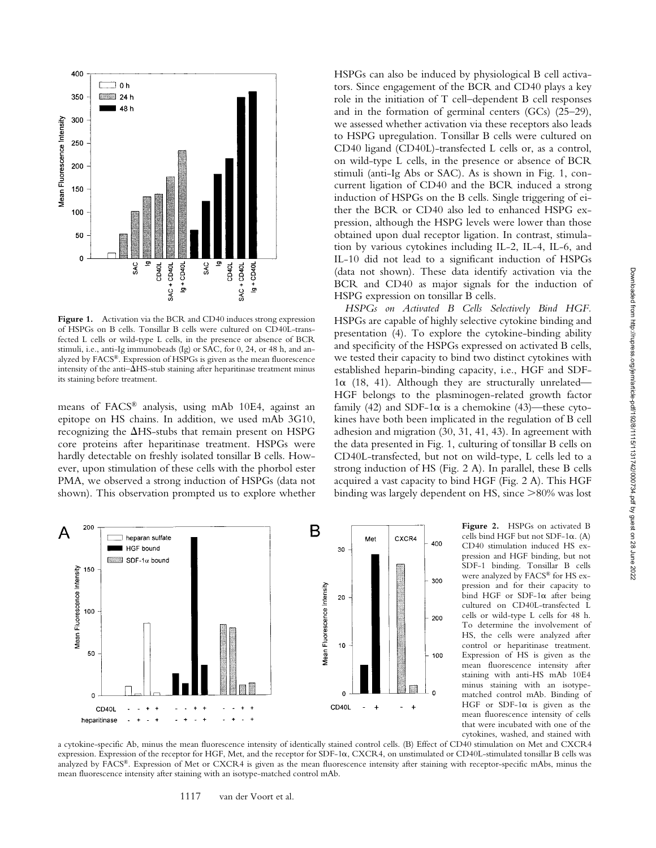

Figure 1. Activation via the BCR and CD40 induces strong expression of HSPGs on B cells. Tonsillar B cells were cultured on CD40L-transfected L cells or wild-type L cells, in the presence or absence of BCR stimuli, i.e., anti-Ig immunobeads (Ig) or SAC, for 0, 24, or 48 h, and analyzed by FACS®. Expression of HSPGs is given as the mean fluorescence intensity of the anti- $\Delta$ HS-stub staining after heparitinase treatment minus its staining before treatment.

means of FACS® analysis, using mAb 10E4, against an epitope on HS chains. In addition, we used mAb 3G10, recognizing the  $\Delta$ HS-stubs that remain present on HSPG core proteins after heparitinase treatment. HSPGs were hardly detectable on freshly isolated tonsillar B cells. However, upon stimulation of these cells with the phorbol ester PMA, we observed a strong induction of HSPGs (data not shown). This observation prompted us to explore whether

HSPGs can also be induced by physiological B cell activators. Since engagement of the BCR and CD40 plays a key role in the initiation of T cell–dependent B cell responses and in the formation of germinal centers (GCs) (25–29), we assessed whether activation via these receptors also leads to HSPG upregulation. Tonsillar B cells were cultured on CD40 ligand (CD40L)-transfected L cells or, as a control, on wild-type L cells, in the presence or absence of BCR stimuli (anti-Ig Abs or SAC). As is shown in Fig. 1, concurrent ligation of CD40 and the BCR induced a strong induction of HSPGs on the B cells. Single triggering of either the BCR or CD40 also led to enhanced HSPG expression, although the HSPG levels were lower than those obtained upon dual receptor ligation. In contrast, stimulation by various cytokines including IL-2, IL-4, IL-6, and IL-10 did not lead to a significant induction of HSPGs (data not shown). These data identify activation via the BCR and CD40 as major signals for the induction of HSPG expression on tonsillar B cells.

*HSPGs on Activated B Cells Selectively Bind HGF.* HSPGs are capable of highly selective cytokine binding and presentation (4). To explore the cytokine-binding ability and specificity of the HSPGs expressed on activated B cells, we tested their capacity to bind two distinct cytokines with established heparin-binding capacity, i.e., HGF and SDF- $1\alpha$  (18, 41). Although they are structurally unrelated— HGF belongs to the plasminogen-related growth factor family (42) and SDF-1 $\alpha$  is a chemokine (43)—these cytokines have both been implicated in the regulation of B cell adhesion and migration (30, 31, 41, 43). In agreement with the data presented in Fig. 1, culturing of tonsillar B cells on CD40L-transfected, but not on wild-type, L cells led to a strong induction of HS (Fig. 2 A). In parallel, these B cells acquired a vast capacity to bind HGF (Fig. 2 A). This HGF binding was largely dependent on HS, since  $>80\%$  was lost



**Figure 2.** HSPGs on activated B cells bind HGF but not SDF-1 $\alpha$ . (A) CD40 stimulation induced HS expression and HGF binding, but not SDF-1 binding. Tonsillar B cells were analyzed by FACS® for HS expression and for their capacity to bind HGF or SDF-1 $\alpha$  after being cultured on CD40L-transfected L cells or wild-type L cells for 48 h. To determine the involvement of HS, the cells were analyzed after control or heparitinase treatment. Expression of HS is given as the mean fluorescence intensity after staining with anti-HS mAb 10E4 minus staining with an isotypematched control mAb. Binding of HGF or SDF-1 $\alpha$  is given as the mean fluorescence intensity of cells that were incubated with one of the cytokines, washed, and stained with

a cytokine-specific Ab, minus the mean fluorescence intensity of identically stained control cells. (B) Effect of CD40 stimulation on Met and CXCR4 expression. Expression of the receptor for HGF, Met, and the receptor for SDF-1a, CXCR4, on unstimulated or CD40L-stimulated tonsillar B cells was analyzed by FACS®. Expression of Met or CXCR4 is given as the mean fluorescence intensity after staining with receptor-specific mAbs, minus the mean fluorescence intensity after staining with an isotype-matched control mAb.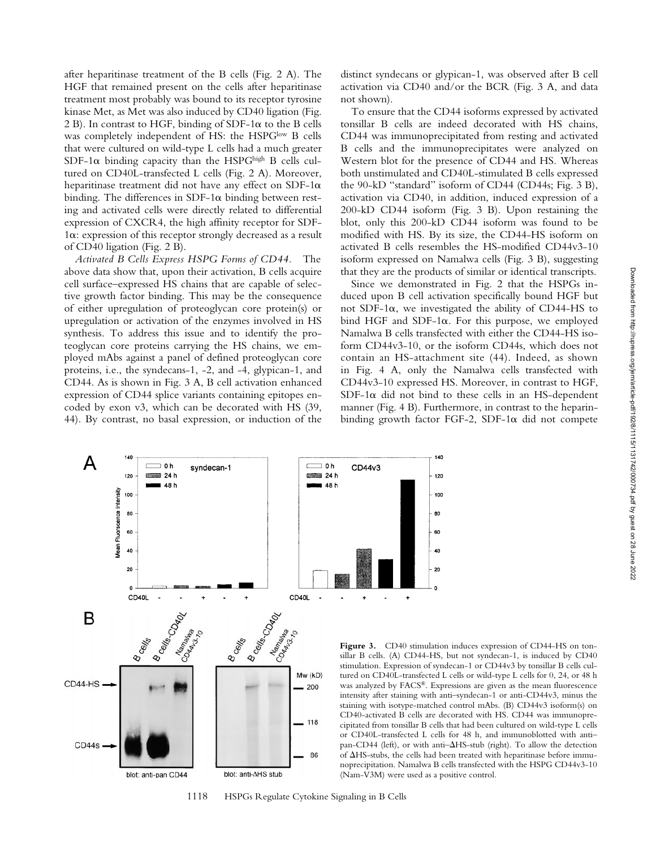after heparitinase treatment of the B cells (Fig. 2 A). The HGF that remained present on the cells after heparitinase treatment most probably was bound to its receptor tyrosine kinase Met, as Met was also induced by CD40 ligation (Fig. 2 B). In contrast to HGF, binding of SDF-1 $\alpha$  to the B cells was completely independent of HS: the HSPGlow B cells that were cultured on wild-type L cells had a much greater SDF-1 $\alpha$  binding capacity than the HSPG<sup>high</sup> B cells cultured on CD40L-transfected L cells (Fig. 2 A). Moreover, heparitinase treatment did not have any effect on SDF-1 $\alpha$ binding. The differences in SDF-1 $\alpha$  binding between resting and activated cells were directly related to differential expression of CXCR4, the high affinity receptor for SDF-1a: expression of this receptor strongly decreased as a result of CD40 ligation (Fig. 2 B).

*Activated B Cells Express HSPG Forms of CD44.* The above data show that, upon their activation, B cells acquire cell surface–expressed HS chains that are capable of selective growth factor binding. This may be the consequence of either upregulation of proteoglycan core protein(s) or upregulation or activation of the enzymes involved in HS synthesis. To address this issue and to identify the proteoglycan core proteins carrying the HS chains, we employed mAbs against a panel of defined proteoglycan core proteins, i.e., the syndecans-1, -2, and -4, glypican-1, and CD44. As is shown in Fig. 3 A, B cell activation enhanced expression of CD44 splice variants containing epitopes encoded by exon v3, which can be decorated with HS (39, 44). By contrast, no basal expression, or induction of the distinct syndecans or glypican-1, was observed after B cell activation via CD40 and/or the BCR (Fig. 3 A, and data not shown).

To ensure that the CD44 isoforms expressed by activated tonsillar B cells are indeed decorated with HS chains, CD44 was immunoprecipitated from resting and activated B cells and the immunoprecipitates were analyzed on Western blot for the presence of CD44 and HS. Whereas both unstimulated and CD40L-stimulated B cells expressed the 90-kD "standard" isoform of CD44 (CD44s; Fig. 3 B), activation via CD40, in addition, induced expression of a 200-kD CD44 isoform (Fig. 3 B). Upon restaining the blot, only this 200-kD CD44 isoform was found to be modified with HS. By its size, the CD44-HS isoform on activated B cells resembles the HS-modified CD44v3-10 isoform expressed on Namalwa cells (Fig. 3 B), suggesting that they are the products of similar or identical transcripts.

Since we demonstrated in Fig. 2 that the HSPGs induced upon B cell activation specifically bound HGF but not SDF-1 $\alpha$ , we investigated the ability of CD44-HS to bind HGF and SDF-1 $\alpha$ . For this purpose, we employed Namalwa B cells transfected with either the CD44-HS isoform CD44v3-10, or the isoform CD44s, which does not contain an HS-attachment site (44). Indeed, as shown in Fig. 4 A, only the Namalwa cells transfected with CD44v3-10 expressed HS. Moreover, in contrast to HGF,  $SDF-1\alpha$  did not bind to these cells in an HS-dependent manner (Fig. 4 B). Furthermore, in contrast to the heparinbinding growth factor FGF-2, SDF-1 $\alpha$  did not compete

140

120

100

80

60

40

20



1118 HSPGs Regulate Cytokine Signaling in B Cells

**Figure 3.** CD40 stimulation induces expression of CD44-HS on tonsillar B cells. (A) CD44-HS, but not syndecan-1, is induced by CD40 stimulation. Expression of syndecan-1 or CD44v3 by tonsillar B cells cultured on CD40L-transfected L cells or wild-type L cells for 0, 24, or 48 h was analyzed by FACS<sup>®</sup>. Expressions are given as the mean fluorescence intensity after staining with anti–syndecan-1 or anti-CD44v3, minus the staining with isotype-matched control mAbs. (B) CD44v3 isoform(s) on CD40-activated B cells are decorated with HS. CD44 was immunoprecipitated from tonsillar B cells that had been cultured on wild-type L cells or CD40L-transfected L cells for 48 h, and immunoblotted with anti– pan-CD44 (left), or with anti- $\Delta$ HS-stub (right). To allow the detection of  $\Delta$ HS-stubs, the cells had been treated with heparitinase before immunoprecipitation. Namalwa B cells transfected with the HSPG CD44v3-10 (Nam-V3M) were used as a positive control.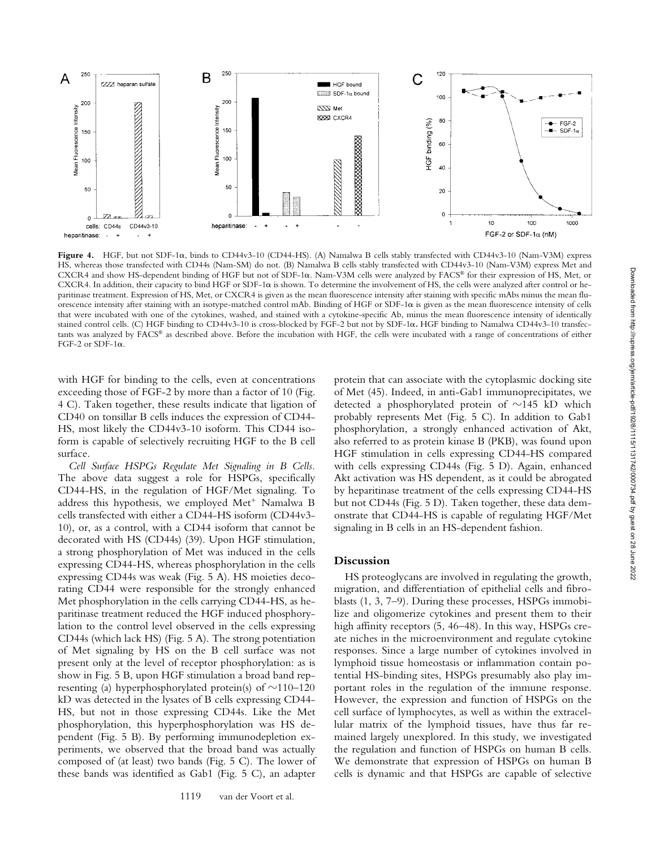

**Figure 4.** HGF, but not SDF-1a, binds to CD44v3-10 (CD44-HS). (A) Namalwa B cells stably transfected with CD44v3-10 (Nam-V3M) express HS, whereas those transfected with CD44s (Nam-SM) do not. (B) Namalwa B cells stably transfected with CD44v3-10 (Nam-V3M) express Met and CXCR4 and show HS-dependent binding of HGF but not of SDF-1a. Nam-V3M cells were analyzed by FACS® for their expression of HS, Met, or CXCR4. In addition, their capacity to bind HGF or SDF-1a is shown. To determine the involvement of HS, the cells were analyzed after control or heparitinase treatment. Expression of HS, Met, or CXCR4 is given as the mean fluorescence intensity after staining with specific mAbs minus the mean fluorescence intensity after staining with an isotype-matched control mAb. Binding of HGF or SDF-1a is given as the mean fluorescence intensity of cells that were incubated with one of the cytokines, washed, and stained with a cytokine-specific Ab, minus the mean fluorescence intensity of identically stained control cells. (C) HGF binding to CD44v3-10 is cross-blocked by FGF-2 but not by SDF-1a. HGF binding to Namalwa CD44v3-10 transfectants was analyzed by FACS® as described above. Before the incubation with HGF, the cells were incubated with a range of concentrations of either FGF-2 or SDF-1 $\alpha$ .

with HGF for binding to the cells, even at concentrations exceeding those of FGF-2 by more than a factor of 10 (Fig. 4 C). Taken together, these results indicate that ligation of CD40 on tonsillar B cells induces the expression of CD44- HS, most likely the CD44v3-10 isoform. This CD44 isoform is capable of selectively recruiting HGF to the B cell surface.

*Cell Surface HSPGs Regulate Met Signaling in B Cells.* The above data suggest a role for HSPGs, specifically CD44-HS, in the regulation of HGF/Met signaling. To address this hypothesis, we employed Met<sup>+</sup> Namalwa B cells transfected with either a CD44-HS isoform (CD44v3- 10), or, as a control, with a CD44 isoform that cannot be decorated with HS (CD44s) (39). Upon HGF stimulation, a strong phosphorylation of Met was induced in the cells expressing CD44-HS, whereas phosphorylation in the cells expressing CD44s was weak (Fig. 5 A). HS moieties decorating CD44 were responsible for the strongly enhanced Met phosphorylation in the cells carrying CD44-HS, as heparitinase treatment reduced the HGF induced phosphorylation to the control level observed in the cells expressing CD44s (which lack HS) (Fig. 5 A). The strong potentiation of Met signaling by HS on the B cell surface was not present only at the level of receptor phosphorylation: as is show in Fig. 5 B, upon HGF stimulation a broad band representing (a) hyperphosphorylated protein(s) of  $\sim$ 110–120 kD was detected in the lysates of B cells expressing CD44- HS, but not in those expressing CD44s. Like the Met phosphorylation, this hyperphosphorylation was HS dependent (Fig. 5 B). By performing immunodepletion experiments, we observed that the broad band was actually composed of (at least) two bands (Fig. 5 C). The lower of these bands was identified as Gab1 (Fig. 5 C), an adapter

protein that can associate with the cytoplasmic docking site of Met (45). Indeed, in anti-Gab1 immunoprecipitates, we detected a phosphorylated protein of  $\sim$ 145 kD which probably represents Met (Fig. 5 C). In addition to Gab1 phosphorylation, a strongly enhanced activation of Akt, also referred to as protein kinase B (PKB), was found upon HGF stimulation in cells expressing CD44-HS compared with cells expressing CD44s (Fig. 5 D). Again, enhanced Akt activation was HS dependent, as it could be abrogated by heparitinase treatment of the cells expressing CD44-HS but not CD44s (Fig. 5 D). Taken together, these data demonstrate that CD44-HS is capable of regulating HGF/Met signaling in B cells in an HS-dependent fashion.

#### **Discussion**

HS proteoglycans are involved in regulating the growth, migration, and differentiation of epithelial cells and fibroblasts (1, 3, 7–9). During these processes, HSPGs immobilize and oligomerize cytokines and present them to their high affinity receptors (5, 46–48). In this way, HSPGs create niches in the microenvironment and regulate cytokine responses. Since a large number of cytokines involved in lymphoid tissue homeostasis or inflammation contain potential HS-binding sites, HSPGs presumably also play important roles in the regulation of the immune response. However, the expression and function of HSPGs on the cell surface of lymphocytes, as well as within the extracellular matrix of the lymphoid tissues, have thus far remained largely unexplored. In this study, we investigated the regulation and function of HSPGs on human B cells. We demonstrate that expression of HSPGs on human B cells is dynamic and that HSPGs are capable of selective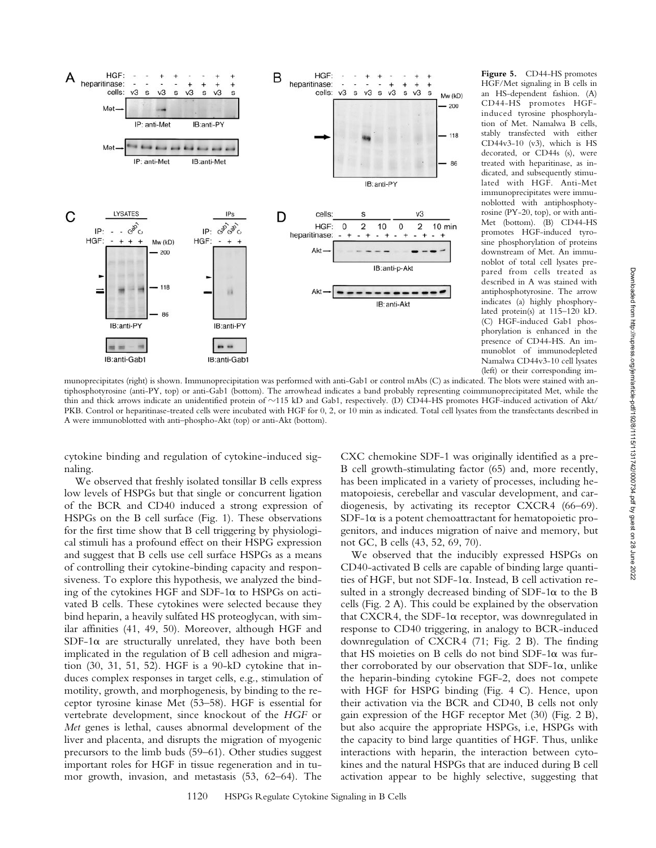

HGF/Met signaling in B cells in an HS-dependent fashion. (A) CD44-HS promotes HGFinduced tyrosine phosphorylation of Met. Namalwa B cells, stably transfected with either CD44v3-10 (v3), which is HS decorated, or CD44s (s), were treated with heparitinase, as indicated, and subsequently stimulated with HGF. Anti-Met immunoprecipitates were immunoblotted with antiphosphotyrosine (PY-20, top), or with anti-Met (bottom). (B) CD44-HS promotes HGF-induced tyrosine phosphorylation of proteins downstream of Met. An immunoblot of total cell lysates prepared from cells treated as described in A was stained with antiphosphotyrosine. The arrow indicates (a) highly phosphorylated protein(s) at 115–120 kD. (C) HGF-induced Gab1 phosphorylation is enhanced in the presence of CD44-HS. An immunoblot of immunodepleted Namalwa CD44v3-10 cell lysates (left) or their corresponding im-

**Figure 5.** CD44-HS promotes

munoprecipitates (right) is shown. Immunoprecipitation was performed with anti-Gab1 or control mAbs (C) as indicated. The blots were stained with antiphosphotyrosine (anti-PY, top) or anti-Gab1 (bottom). The arrowhead indicates a band probably representing coimmunoprecipitated Met, while the thin and thick arrows indicate an unidentified protein of  $\sim$ 115 kD and Gab1, respectively. (D) CD44-HS promotes HGF-induced activation of Akt/ PKB. Control or heparitinase-treated cells were incubated with HGF for 0, 2, or 10 min as indicated. Total cell lysates from the transfectants described in A were immunoblotted with anti–phospho-Akt (top) or anti-Akt (bottom).

cytokine binding and regulation of cytokine-induced signaling.

We observed that freshly isolated tonsillar B cells express low levels of HSPGs but that single or concurrent ligation of the BCR and CD40 induced a strong expression of HSPGs on the B cell surface (Fig. 1). These observations for the first time show that B cell triggering by physiological stimuli has a profound effect on their HSPG expression and suggest that B cells use cell surface HSPGs as a means of controlling their cytokine-binding capacity and responsiveness. To explore this hypothesis, we analyzed the binding of the cytokines HGF and SDF-1 $\alpha$  to HSPGs on activated B cells. These cytokines were selected because they bind heparin, a heavily sulfated HS proteoglycan, with similar affinities (41, 49, 50). Moreover, although HGF and SDF-1 $\alpha$  are structurally unrelated, they have both been implicated in the regulation of B cell adhesion and migration (30, 31, 51, 52). HGF is a 90-kD cytokine that induces complex responses in target cells, e.g., stimulation of motility, growth, and morphogenesis, by binding to the receptor tyrosine kinase Met (53–58). HGF is essential for vertebrate development, since knockout of the *HGF* or *Met* genes is lethal, causes abnormal development of the liver and placenta, and disrupts the migration of myogenic precursors to the limb buds (59–61). Other studies suggest important roles for HGF in tissue regeneration and in tumor growth, invasion, and metastasis (53, 62–64). The

CXC chemokine SDF-1 was originally identified as a pre-B cell growth-stimulating factor (65) and, more recently, has been implicated in a variety of processes, including hematopoiesis, cerebellar and vascular development, and cardiogenesis, by activating its receptor CXCR4 (66–69).  $SDF-1\alpha$  is a potent chemoattractant for hematopoietic progenitors, and induces migration of naive and memory, but not GC, B cells (43, 52, 69, 70).

We observed that the inducibly expressed HSPGs on CD40-activated B cells are capable of binding large quantities of HGF, but not SDF-1a. Instead, B cell activation resulted in a strongly decreased binding of SDF-1 $\alpha$  to the B cells (Fig. 2 A). This could be explained by the observation that CXCR4, the SDF-1 $\alpha$  receptor, was downregulated in response to CD40 triggering, in analogy to BCR-induced downregulation of CXCR4 (71; Fig. 2 B). The finding that HS moieties on B cells do not bind SDF-1 $\alpha$  was further corroborated by our observation that SDF-1 $\alpha$ , unlike the heparin-binding cytokine FGF-2, does not compete with HGF for HSPG binding (Fig. 4 C). Hence, upon their activation via the BCR and CD40, B cells not only gain expression of the HGF receptor Met (30) (Fig. 2 B), but also acquire the appropriate HSPGs, i.e, HSPGs with the capacity to bind large quantities of HGF. Thus, unlike interactions with heparin, the interaction between cytokines and the natural HSPGs that are induced during B cell activation appear to be highly selective, suggesting that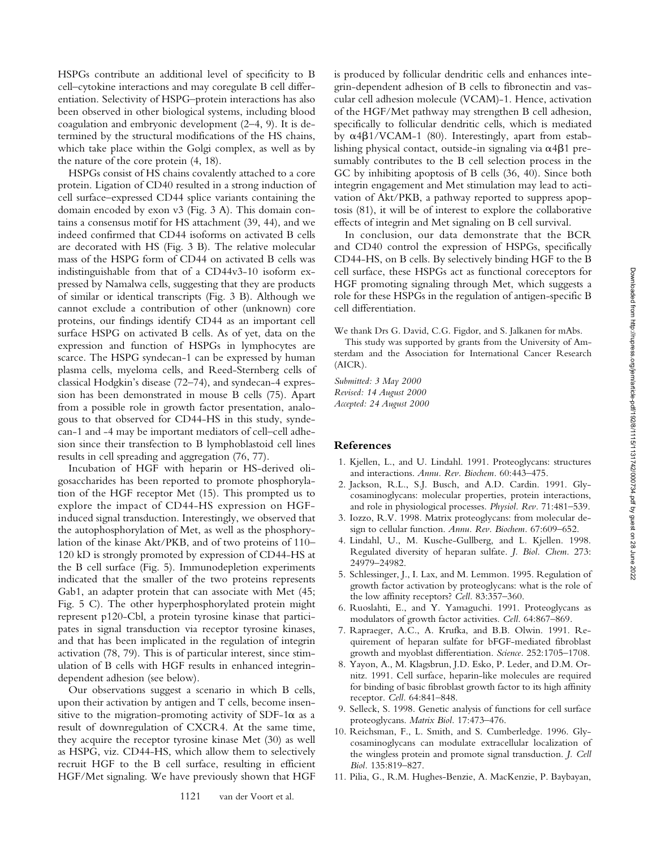HSPGs contribute an additional level of specificity to B cell–cytokine interactions and may coregulate B cell differentiation. Selectivity of HSPG–protein interactions has also been observed in other biological systems, including blood coagulation and embryonic development (2–4, 9). It is determined by the structural modifications of the HS chains, which take place within the Golgi complex, as well as by the nature of the core protein (4, 18).

HSPGs consist of HS chains covalently attached to a core protein. Ligation of CD40 resulted in a strong induction of cell surface–expressed CD44 splice variants containing the domain encoded by exon v3 (Fig. 3 A). This domain contains a consensus motif for HS attachment (39, 44), and we indeed confirmed that CD44 isoforms on activated B cells are decorated with HS (Fig. 3 B). The relative molecular mass of the HSPG form of CD44 on activated B cells was indistinguishable from that of a CD44v3-10 isoform expressed by Namalwa cells, suggesting that they are products of similar or identical transcripts (Fig. 3 B). Although we cannot exclude a contribution of other (unknown) core proteins, our findings identify CD44 as an important cell surface HSPG on activated B cells. As of yet, data on the expression and function of HSPGs in lymphocytes are scarce. The HSPG syndecan-1 can be expressed by human plasma cells, myeloma cells, and Reed-Sternberg cells of classical Hodgkin's disease (72–74), and syndecan-4 expression has been demonstrated in mouse B cells (75). Apart from a possible role in growth factor presentation, analogous to that observed for CD44-HS in this study, syndecan-1 and -4 may be important mediators of cell–cell adhesion since their transfection to B lymphoblastoid cell lines results in cell spreading and aggregation (76, 77).

Incubation of HGF with heparin or HS-derived oligosaccharides has been reported to promote phosphorylation of the HGF receptor Met (15). This prompted us to explore the impact of CD44-HS expression on HGFinduced signal transduction. Interestingly, we observed that the autophosphorylation of Met, as well as the phosphorylation of the kinase Akt/PKB, and of two proteins of 110– 120 kD is strongly promoted by expression of CD44-HS at the B cell surface (Fig. 5). Immunodepletion experiments indicated that the smaller of the two proteins represents Gab1, an adapter protein that can associate with Met (45; Fig. 5 C). The other hyperphosphorylated protein might represent p120-Cbl, a protein tyrosine kinase that participates in signal transduction via receptor tyrosine kinases, and that has been implicated in the regulation of integrin activation (78, 79). This is of particular interest, since stimulation of B cells with HGF results in enhanced integrindependent adhesion (see below).

Our observations suggest a scenario in which B cells, upon their activation by antigen and T cells, become insensitive to the migration-promoting activity of SDF-1 $\alpha$  as a result of downregulation of CXCR4. At the same time, they acquire the receptor tyrosine kinase Met (30) as well as HSPG, viz. CD44-HS, which allow them to selectively recruit HGF to the B cell surface, resulting in efficient HGF/Met signaling. We have previously shown that HGF

is produced by follicular dendritic cells and enhances integrin-dependent adhesion of B cells to fibronectin and vascular cell adhesion molecule (VCAM)-1. Hence, activation of the HGF/Met pathway may strengthen B cell adhesion, specifically to follicular dendritic cells, which is mediated by  $\alpha$ 4 $\beta$ 1/VCAM-1 (80). Interestingly, apart from establishing physical contact, outside-in signaling via  $\alpha$ 4 $\beta$ 1 presumably contributes to the B cell selection process in the GC by inhibiting apoptosis of B cells (36, 40). Since both integrin engagement and Met stimulation may lead to activation of Akt/PKB, a pathway reported to suppress apoptosis (81), it will be of interest to explore the collaborative effects of integrin and Met signaling on B cell survival.

In conclusion, our data demonstrate that the BCR and CD40 control the expression of HSPGs, specifically CD44-HS, on B cells. By selectively binding HGF to the B cell surface, these HSPGs act as functional coreceptors for HGF promoting signaling through Met, which suggests a role for these HSPGs in the regulation of antigen-specific B cell differentiation.

We thank Drs G. David, C.G. Figdor, and S. Jalkanen for mAbs.

This study was supported by grants from the University of Amsterdam and the Association for International Cancer Research (AICR).

*Submitted: 3 May 2000 Revised: 14 August 2000 Accepted: 24 August 2000*

#### **References**

- 1. Kjellen, L., and U. Lindahl. 1991. Proteoglycans: structures and interactions. *Annu. Rev. Biochem.* 60:443–475.
- 2. Jackson, R.L., S.J. Busch, and A.D. Cardin. 1991. Glycosaminoglycans: molecular properties, protein interactions, and role in physiological processes. *Physiol. Rev.* 71:481–539.
- 3. Iozzo, R.V. 1998. Matrix proteoglycans: from molecular design to cellular function. *Annu. Rev. Biochem.* 67:609–652.
- 4. Lindahl, U., M. Kusche-Gullberg, and L. Kjellen. 1998. Regulated diversity of heparan sulfate. *J. Biol. Chem.* 273: 24979–24982.
- 5. Schlessinger, J., I. Lax, and M. Lemmon. 1995. Regulation of growth factor activation by proteoglycans: what is the role of the low affinity receptors? *Cell.* 83:357–360.
- 6. Ruoslahti, E., and Y. Yamaguchi. 1991. Proteoglycans as modulators of growth factor activities. *Cell.* 64:867–869.
- 7. Rapraeger, A.C., A. Krufka, and B.B. Olwin. 1991. Requirement of heparan sulfate for bFGF-mediated fibroblast growth and myoblast differentiation. *Science.* 252:1705–1708.
- 8. Yayon, A., M. Klagsbrun, J.D. Esko, P. Leder, and D.M. Ornitz. 1991. Cell surface, heparin-like molecules are required for binding of basic fibroblast growth factor to its high affinity receptor. *Cell.* 64:841–848.
- 9. Selleck, S. 1998. Genetic analysis of functions for cell surface proteoglycans. *Matrix Biol.* 17:473–476.
- 10. Reichsman, F., L. Smith, and S. Cumberledge. 1996. Glycosaminoglycans can modulate extracellular localization of the wingless protein and promote signal transduction. *J. Cell Biol.* 135:819–827.
- 11. Pilia, G., R.M. Hughes-Benzie, A. MacKenzie, P. Baybayan,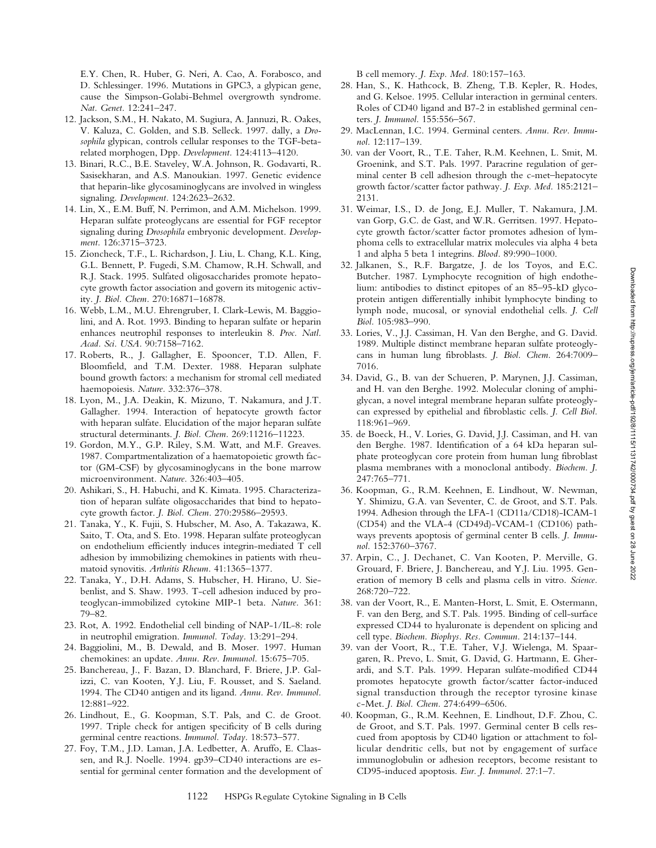E.Y. Chen, R. Huber, G. Neri, A. Cao, A. Forabosco, and D. Schlessinger. 1996. Mutations in GPC3, a glypican gene, cause the Simpson-Golabi-Behmel overgrowth syndrome. *Nat. Genet.* 12:241–247.

- 12. Jackson, S.M., H. Nakato, M. Sugiura, A. Jannuzi, R. Oakes, V. Kaluza, C. Golden, and S.B. Selleck. 1997. dally, a *Drosophila* glypican, controls cellular responses to the TGF-betarelated morphogen, Dpp. *Development.* 124:4113–4120.
- 13. Binari, R.C., B.E. Staveley, W.A. Johnson, R. Godavarti, R. Sasisekharan, and A.S. Manoukian. 1997. Genetic evidence that heparin-like glycosaminoglycans are involved in wingless signaling. *Development.* 124:2623–2632.
- 14. Lin, X., E.M. Buff, N. Perrimon, and A.M. Michelson. 1999. Heparan sulfate proteoglycans are essential for FGF receptor signaling during *Drosophila* embryonic development. *Development.* 126:3715–3723.
- 15. Zioncheck, T.F., L. Richardson, J. Liu, L. Chang, K.L. King, G.L. Bennett, P. Fugedi, S.M. Chamow, R.H. Schwall, and R.J. Stack. 1995. Sulfated oligosaccharides promote hepatocyte growth factor association and govern its mitogenic activity. *J. Biol. Chem.* 270:16871–16878.
- 16. Webb, L.M., M.U. Ehrengruber, I. Clark-Lewis, M. Baggiolini, and A. Rot. 1993. Binding to heparan sulfate or heparin enhances neutrophil responses to interleukin 8. *Proc. Natl. Acad. Sci. USA.* 90:7158–7162.
- 17. Roberts, R., J. Gallagher, E. Spooncer, T.D. Allen, F. Bloomfield, and T.M. Dexter. 1988. Heparan sulphate bound growth factors: a mechanism for stromal cell mediated haemopoiesis. *Nature.* 332:376–378.
- 18. Lyon, M., J.A. Deakin, K. Mizuno, T. Nakamura, and J.T. Gallagher. 1994. Interaction of hepatocyte growth factor with heparan sulfate. Elucidation of the major heparan sulfate structural determinants. *J. Biol. Chem.* 269:11216–11223.
- 19. Gordon, M.Y., G.P. Riley, S.M. Watt, and M.F. Greaves. 1987. Compartmentalization of a haematopoietic growth factor (GM-CSF) by glycosaminoglycans in the bone marrow microenvironment. *Nature.* 326:403–405.
- 20. Ashikari, S., H. Habuchi, and K. Kimata. 1995. Characterization of heparan sulfate oligosaccharides that bind to hepatocyte growth factor. *J. Biol. Chem.* 270:29586–29593.
- 21. Tanaka, Y., K. Fujii, S. Hubscher, M. Aso, A. Takazawa, K. Saito, T. Ota, and S. Eto. 1998. Heparan sulfate proteoglycan on endothelium efficiently induces integrin-mediated T cell adhesion by immobilizing chemokines in patients with rheumatoid synovitis. *Arthritis Rheum.* 41:1365–1377.
- 22. Tanaka, Y., D.H. Adams, S. Hubscher, H. Hirano, U. Siebenlist, and S. Shaw. 1993. T-cell adhesion induced by proteoglycan-immobilized cytokine MIP-1 beta. *Nature.* 361: 79–82.
- 23. Rot, A. 1992. Endothelial cell binding of NAP-1/IL-8: role in neutrophil emigration. *Immunol. Today.* 13:291–294.
- 24. Baggiolini, M., B. Dewald, and B. Moser. 1997. Human chemokines: an update. *Annu. Rev. Immunol.* 15:675–705.
- 25. Banchereau, J., F. Bazan, D. Blanchard, F. Briere, J.P. Galizzi, C. van Kooten, Y.J. Liu, F. Rousset, and S. Saeland. 1994. The CD40 antigen and its ligand. *Annu. Rev. Immunol.* 12:881–922.
- 26. Lindhout, E., G. Koopman, S.T. Pals, and C. de Groot. 1997. Triple check for antigen specificity of B cells during germinal centre reactions. *Immunol. Today.* 18:573–577.
- 27. Foy, T.M., J.D. Laman, J.A. Ledbetter, A. Aruffo, E. Claassen, and R.J. Noelle. 1994. gp39–CD40 interactions are essential for germinal center formation and the development of

B cell memory. *J. Exp. Med.* 180:157–163.

- 28. Han, S., K. Hathcock, B. Zheng, T.B. Kepler, R. Hodes, and G. Kelsoe. 1995. Cellular interaction in germinal centers. Roles of CD40 ligand and B7-2 in established germinal centers. *J. Immunol.* 155:556–567.
- 29. MacLennan, I.C. 1994. Germinal centers. *Annu. Rev. Immunol.* 12:117–139.
- 30. van der Voort, R., T.E. Taher, R.M. Keehnen, L. Smit, M. Groenink, and S.T. Pals. 1997. Paracrine regulation of germinal center B cell adhesion through the c-met–hepatocyte growth factor/scatter factor pathway. *J. Exp. Med.* 185:2121– 2131.
- 31. Weimar, I.S., D. de Jong, E.J. Muller, T. Nakamura, J.M. van Gorp, G.C. de Gast, and W.R. Gerritsen. 1997. Hepatocyte growth factor/scatter factor promotes adhesion of lymphoma cells to extracellular matrix molecules via alpha 4 beta 1 and alpha 5 beta 1 integrins. *Blood.* 89:990–1000.
- 32. Jalkanen, S., R.F. Bargatze, J. de los Toyos, and E.C. Butcher. 1987. Lymphocyte recognition of high endothelium: antibodies to distinct epitopes of an 85–95-kD glycoprotein antigen differentially inhibit lymphocyte binding to lymph node, mucosal, or synovial endothelial cells. *J. Cell Biol.* 105:983–990.
- 33. Lories, V., J.J. Cassiman, H. Van den Berghe, and G. David. 1989. Multiple distinct membrane heparan sulfate proteoglycans in human lung fibroblasts. *J. Biol. Chem.* 264:7009– 7016.
- 34. David, G., B. van der Schueren, P. Marynen, J.J. Cassiman, and H. van den Berghe. 1992. Molecular cloning of amphiglycan, a novel integral membrane heparan sulfate proteoglycan expressed by epithelial and fibroblastic cells. *J. Cell Biol.* 118:961–969.
- 35. de Boeck, H., V. Lories, G. David, J.J. Cassiman, and H. van den Berghe. 1987. Identification of a 64 kDa heparan sulphate proteoglycan core protein from human lung fibroblast plasma membranes with a monoclonal antibody. *Biochem. J.* 247:765–771.
- 36. Koopman, G., R.M. Keehnen, E. Lindhout, W. Newman, Y. Shimizu, G.A. van Seventer, C. de Groot, and S.T. Pals. 1994. Adhesion through the LFA-1 (CD11a/CD18)-ICAM-1 (CD54) and the VLA-4 (CD49d)-VCAM-1 (CD106) pathways prevents apoptosis of germinal center B cells. *J. Immunol.* 152:3760–3767.
- 37. Arpin, C., J. Dechanet, C. Van Kooten, P. Merville, G. Grouard, F. Briere, J. Banchereau, and Y.J. Liu. 1995. Generation of memory B cells and plasma cells in vitro. *Science.* 268:720–722.
- 38. van der Voort, R., E. Manten-Horst, L. Smit, E. Ostermann, F. van den Berg, and S.T. Pals. 1995. Binding of cell-surface expressed CD44 to hyaluronate is dependent on splicing and cell type. *Biochem. Biophys. Res. Commun.* 214:137–144.
- 39. van der Voort, R., T.E. Taher, V.J. Wielenga, M. Spaargaren, R. Prevo, L. Smit, G. David, G. Hartmann, E. Gherardi, and S.T. Pals. 1999. Heparan sulfate-modified CD44 promotes hepatocyte growth factor/scatter factor-induced signal transduction through the receptor tyrosine kinase c-Met. *J. Biol. Chem.* 274:6499–6506.
- 40. Koopman, G., R.M. Keehnen, E. Lindhout, D.F. Zhou, C. de Groot, and S.T. Pals. 1997. Germinal center B cells rescued from apoptosis by CD40 ligation or attachment to follicular dendritic cells, but not by engagement of surface immunoglobulin or adhesion receptors, become resistant to CD95-induced apoptosis. *Eur. J. Immunol.* 27:1–7.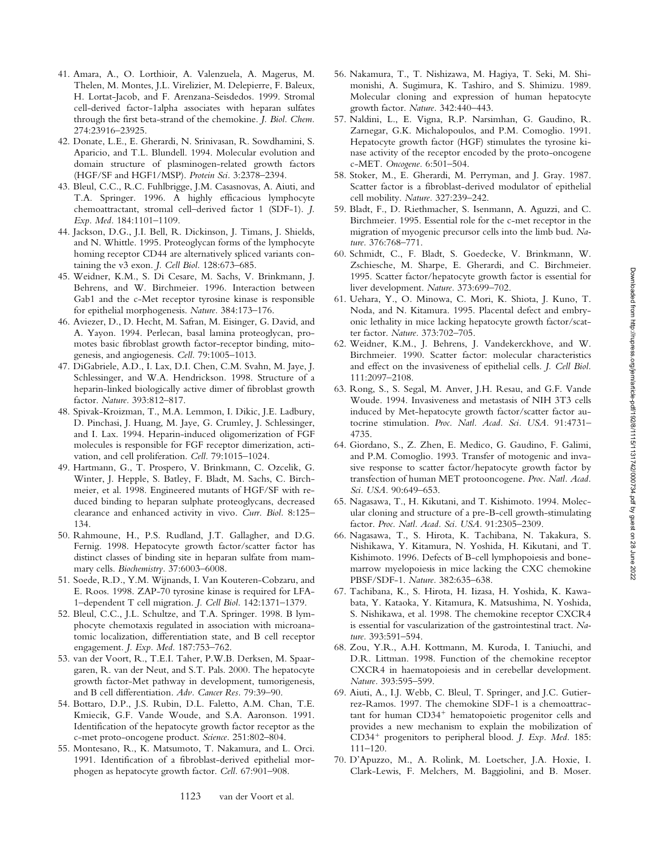- 41. Amara, A., O. Lorthioir, A. Valenzuela, A. Magerus, M. Thelen, M. Montes, J.L. Virelizier, M. Delepierre, F. Baleux, H. Lortat-Jacob, and F. Arenzana-Seisdedos. 1999. Stromal cell-derived factor-1alpha associates with heparan sulfates through the first beta-strand of the chemokine. *J. Biol. Chem.* 274:23916–23925.
- 42. Donate, L.E., E. Gherardi, N. Srinivasan, R. Sowdhamini, S. Aparicio, and T.L. Blundell. 1994. Molecular evolution and domain structure of plasminogen-related growth factors (HGF/SF and HGF1/MSP). *Protein Sci.* 3:2378–2394.
- 43. Bleul, C.C., R.C. Fuhlbrigge, J.M. Casasnovas, A. Aiuti, and T.A. Springer. 1996. A highly efficacious lymphocyte chemoattractant, stromal cell–derived factor 1 (SDF-1). *J. Exp. Med.* 184:1101–1109.
- 44. Jackson, D.G., J.I. Bell, R. Dickinson, J. Timans, J. Shields, and N. Whittle. 1995. Proteoglycan forms of the lymphocyte homing receptor CD44 are alternatively spliced variants containing the v3 exon. *J. Cell Biol.* 128:673–685.
- 45. Weidner, K.M., S. Di Cesare, M. Sachs, V. Brinkmann, J. Behrens, and W. Birchmeier. 1996. Interaction between Gab1 and the c-Met receptor tyrosine kinase is responsible for epithelial morphogenesis. *Nature.* 384:173–176.
- 46. Aviezer, D., D. Hecht, M. Safran, M. Eisinger, G. David, and A. Yayon. 1994. Perlecan, basal lamina proteoglycan, promotes basic fibroblast growth factor-receptor binding, mitogenesis, and angiogenesis. *Cell.* 79:1005–1013.
- 47. DiGabriele, A.D., I. Lax, D.I. Chen, C.M. Svahn, M. Jaye, J. Schlessinger, and W.A. Hendrickson. 1998. Structure of a heparin-linked biologically active dimer of fibroblast growth factor. *Nature.* 393:812–817.
- 48. Spivak-Kroizman, T., M.A. Lemmon, I. Dikic, J.E. Ladbury, D. Pinchasi, J. Huang, M. Jaye, G. Crumley, J. Schlessinger, and I. Lax. 1994. Heparin-induced oligomerization of FGF molecules is responsible for FGF receptor dimerization, activation, and cell proliferation. *Cell.* 79:1015–1024.
- 49. Hartmann, G., T. Prospero, V. Brinkmann, C. Ozcelik, G. Winter, J. Hepple, S. Batley, F. Bladt, M. Sachs, C. Birchmeier, et al. 1998. Engineered mutants of HGF/SF with reduced binding to heparan sulphate proteoglycans, decreased clearance and enhanced activity in vivo. *Curr. Biol.* 8:125– 134.
- 50. Rahmoune, H., P.S. Rudland, J.T. Gallagher, and D.G. Fernig. 1998. Hepatocyte growth factor/scatter factor has distinct classes of binding site in heparan sulfate from mammary cells. *Biochemistry.* 37:6003–6008.
- 51. Soede, R.D., Y.M. Wijnands, I. Van Kouteren-Cobzaru, and E. Roos. 1998. ZAP-70 tyrosine kinase is required for LFA-1–dependent T cell migration. *J. Cell Biol.* 142:1371–1379.
- 52. Bleul, C.C., J.L. Schultze, and T.A. Springer. 1998. B lymphocyte chemotaxis regulated in association with microanatomic localization, differentiation state, and B cell receptor engagement. *J. Exp. Med.* 187:753–762.
- 53. van der Voort, R., T.E.I. Taher, P.W.B. Derksen, M. Spaargaren, R. van der Neut, and S.T. Pals. 2000. The hepatocyte growth factor-Met pathway in development, tumorigenesis, and B cell differentiation. *Adv. Cancer Res.* 79:39–90.
- 54. Bottaro, D.P., J.S. Rubin, D.L. Faletto, A.M. Chan, T.E. Kmiecik, G.F. Vande Woude, and S.A. Aaronson. 1991. Identification of the hepatocyte growth factor receptor as the c-met proto-oncogene product. *Science.* 251:802–804.
- 55. Montesano, R., K. Matsumoto, T. Nakamura, and L. Orci. 1991. Identification of a fibroblast-derived epithelial morphogen as hepatocyte growth factor. *Cell.* 67:901–908.
- 56. Nakamura, T., T. Nishizawa, M. Hagiya, T. Seki, M. Shimonishi, A. Sugimura, K. Tashiro, and S. Shimizu. 1989. Molecular cloning and expression of human hepatocyte growth factor. *Nature.* 342:440–443.
- 57. Naldini, L., E. Vigna, R.P. Narsimhan, G. Gaudino, R. Zarnegar, G.K. Michalopoulos, and P.M. Comoglio. 1991. Hepatocyte growth factor (HGF) stimulates the tyrosine kinase activity of the receptor encoded by the proto-oncogene c-MET. *Oncogene.* 6:501–504.
- 58. Stoker, M., E. Gherardi, M. Perryman, and J. Gray. 1987. Scatter factor is a fibroblast-derived modulator of epithelial cell mobility. *Nature.* 327:239–242.
- 59. Bladt, F., D. Riethmacher, S. Isenmann, A. Aguzzi, and C. Birchmeier. 1995. Essential role for the c-met receptor in the migration of myogenic precursor cells into the limb bud. *Nature.* 376:768–771.
- 60. Schmidt, C., F. Bladt, S. Goedecke, V. Brinkmann, W. Zschiesche, M. Sharpe, E. Gherardi, and C. Birchmeier. 1995. Scatter factor/hepatocyte growth factor is essential for liver development. *Nature.* 373:699–702.
- 61. Uehara, Y., O. Minowa, C. Mori, K. Shiota, J. Kuno, T. Noda, and N. Kitamura. 1995. Placental defect and embryonic lethality in mice lacking hepatocyte growth factor/scatter factor. *Nature.* 373:702–705.
- 62. Weidner, K.M., J. Behrens, J. Vandekerckhove, and W. Birchmeier. 1990. Scatter factor: molecular characteristics and effect on the invasiveness of epithelial cells. *J. Cell Biol.* 111:2097–2108.
- 63. Rong, S., S. Segal, M. Anver, J.H. Resau, and G.F. Vande Woude. 1994. Invasiveness and metastasis of NIH 3T3 cells induced by Met-hepatocyte growth factor/scatter factor autocrine stimulation. *Proc. Natl. Acad. Sci. USA.* 91:4731– 4735.
- 64. Giordano, S., Z. Zhen, E. Medico, G. Gaudino, F. Galimi, and P.M. Comoglio. 1993. Transfer of motogenic and invasive response to scatter factor/hepatocyte growth factor by transfection of human MET protooncogene. *Proc. Natl. Acad. Sci. USA.* 90:649–653.
- 65. Nagasawa, T., H. Kikutani, and T. Kishimoto. 1994. Molecular cloning and structure of a pre-B-cell growth-stimulating factor. *Proc. Natl. Acad. Sci. USA.* 91:2305–2309.
- 66. Nagasawa, T., S. Hirota, K. Tachibana, N. Takakura, S. Nishikawa, Y. Kitamura, N. Yoshida, H. Kikutani, and T. Kishimoto. 1996. Defects of B-cell lymphopoiesis and bonemarrow myelopoiesis in mice lacking the CXC chemokine PBSF/SDF-1. *Nature.* 382:635–638.
- 67. Tachibana, K., S. Hirota, H. Iizasa, H. Yoshida, K. Kawabata, Y. Kataoka, Y. Kitamura, K. Matsushima, N. Yoshida, S. Nishikawa, et al. 1998. The chemokine receptor CXCR4 is essential for vascularization of the gastrointestinal tract. *Nature.* 393:591–594.
- 68. Zou, Y.R., A.H. Kottmann, M. Kuroda, I. Taniuchi, and D.R. Littman. 1998. Function of the chemokine receptor CXCR4 in haematopoiesis and in cerebellar development. *Nature.* 393:595–599.
- 69. Aiuti, A., I.J. Webb, C. Bleul, T. Springer, and J.C. Gutierrez-Ramos. 1997. The chemokine SDF-1 is a chemoattrac $tant for human CD34<sup>+</sup> hematopoietic progenitor cells and$ provides a new mechanism to explain the mobilization of CD34<sup>+</sup> progenitors to peripheral blood. *J. Exp. Med.* 185: 111–120.
- 70. D'Apuzzo, M., A. Rolink, M. Loetscher, J.A. Hoxie, I. Clark-Lewis, F. Melchers, M. Baggiolini, and B. Moser.